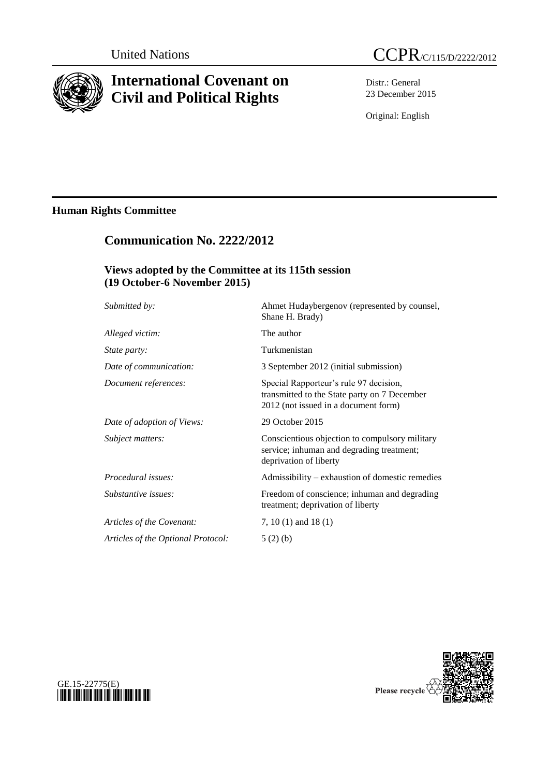

# **International Covenant on Civil and Political Rights**



Distr.: General 23 December 2015

Original: English

## **Human Rights Committee**

## **Communication No. 2222/2012**

### **Views adopted by the Committee at its 115th session (19 October-6 November 2015)**

| Submitted by:                      | Ahmet Hudaybergenov (represented by counsel,<br>Shane H. Brady)                                                                |
|------------------------------------|--------------------------------------------------------------------------------------------------------------------------------|
| Alleged victim:                    | The author                                                                                                                     |
| <i>State party:</i>                | Turkmenistan                                                                                                                   |
| Date of communication:             | 3 September 2012 (initial submission)                                                                                          |
| Document references:               | Special Rapporteur's rule 97 decision,<br>transmitted to the State party on 7 December<br>2012 (not issued in a document form) |
| Date of adoption of Views:         | 29 October 2015                                                                                                                |
| Subject matters:                   | Conscientious objection to compulsory military<br>service; inhuman and degrading treatment;<br>deprivation of liberty          |
| Procedural issues:                 | Admissibility – exhaustion of domestic remedies                                                                                |
| Substantive issues:                | Freedom of conscience; inhuman and degrading<br>treatment; deprivation of liberty                                              |
| Articles of the Covenant:          | 7, 10 (1) and 18 (1)                                                                                                           |
| Articles of the Optional Protocol: | 5(2)(b)                                                                                                                        |
|                                    |                                                                                                                                |



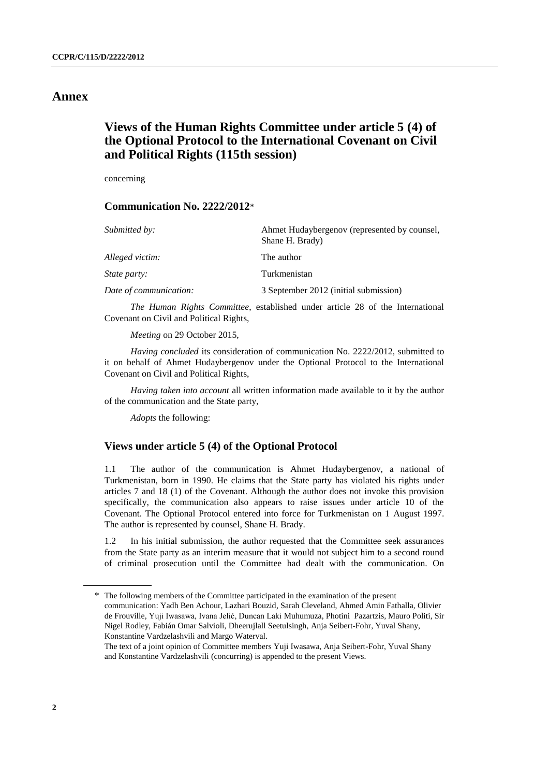### **Annex**

## **Views of the Human Rights Committee under article 5 (4) of the Optional Protocol to the International Covenant on Civil and Political Rights (115th session)**

concerning

#### **Communication No. 2222/2012**\*

| Ahmet Hudaybergenov (represented by counsel,<br>Shane H. Brady) |
|-----------------------------------------------------------------|
| The author                                                      |
| Turkmenistan                                                    |
| 3 September 2012 (initial submission)                           |
|                                                                 |

*The Human Rights Committee*, established under article 28 of the International Covenant on Civil and Political Rights,

*Meeting* on 29 October 2015,

*Having concluded* its consideration of communication No. 2222/2012, submitted to it on behalf of Ahmet Hudaybergenov under the Optional Protocol to the International Covenant on Civil and Political Rights,

*Having taken into account* all written information made available to it by the author of the communication and the State party,

*Adopts* the following:

#### **Views under article 5 (4) of the Optional Protocol**

1.1 The author of the communication is Ahmet Hudaybergenov, a national of Turkmenistan, born in 1990. He claims that the State party has violated his rights under articles 7 and 18 (1) of the Covenant. Although the author does not invoke this provision specifically, the communication also appears to raise issues under article 10 of the Covenant. The Optional Protocol entered into force for Turkmenistan on 1 August 1997. The author is represented by counsel, Shane H. Brady.

1.2 In his initial submission, the author requested that the Committee seek assurances from the State party as an interim measure that it would not subject him to a second round of criminal prosecution until the Committee had dealt with the communication. On

<sup>\*</sup> The following members of the Committee participated in the examination of the present communication: Yadh Ben Achour, Lazhari Bouzid, Sarah Cleveland, Ahmed Amin Fathalla, Olivier de Frouville, Yuji Iwasawa, Ivana Jelić, Duncan Laki Muhumuza, Photini Pazartzis, Mauro Politi, Sir Nigel Rodley, Fabián Omar Salvioli, Dheerujlall Seetulsingh, Anja Seibert-Fohr, Yuval Shany, Konstantine Vardzelashvili and Margo Waterval.

The text of a joint opinion of Committee members Yuji Iwasawa, Anja Seibert-Fohr, Yuval Shany and Konstantine Vardzelashvili (concurring) is appended to the present Views.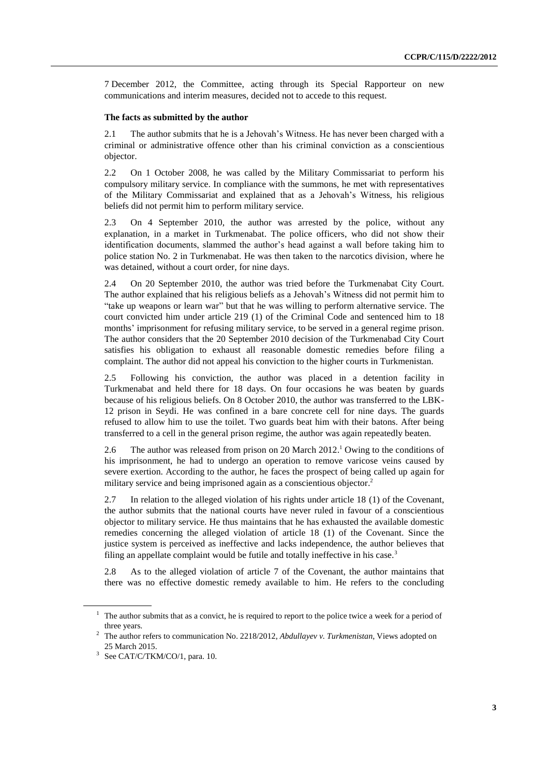7 December 2012, the Committee, acting through its Special Rapporteur on new communications and interim measures, decided not to accede to this request.

#### **The facts as submitted by the author**

2.1 The author submits that he is a Jehovah's Witness. He has never been charged with a criminal or administrative offence other than his criminal conviction as a conscientious objector.

2.2 On 1 October 2008, he was called by the Military Commissariat to perform his compulsory military service. In compliance with the summons, he met with representatives of the Military Commissariat and explained that as a Jehovah's Witness, his religious beliefs did not permit him to perform military service.

2.3 On 4 September 2010, the author was arrested by the police, without any explanation, in a market in Turkmenabat. The police officers, who did not show their identification documents, slammed the author's head against a wall before taking him to police station No. 2 in Turkmenabat. He was then taken to the narcotics division, where he was detained, without a court order, for nine days.

2.4 On 20 September 2010, the author was tried before the Turkmenabat City Court. The author explained that his religious beliefs as a Jehovah's Witness did not permit him to "take up weapons or learn war" but that he was willing to perform alternative service. The court convicted him under article 219 (1) of the Criminal Code and sentenced him to 18 months' imprisonment for refusing military service, to be served in a general regime prison. The author considers that the 20 September 2010 decision of the Turkmenabad City Court satisfies his obligation to exhaust all reasonable domestic remedies before filing a complaint. The author did not appeal his conviction to the higher courts in Turkmenistan.

2.5 Following his conviction, the author was placed in a detention facility in Turkmenabat and held there for 18 days. On four occasions he was beaten by guards because of his religious beliefs. On 8 October 2010, the author was transferred to the LBK-12 prison in Seydi. He was confined in a bare concrete cell for nine days. The guards refused to allow him to use the toilet. Two guards beat him with their batons. After being transferred to a cell in the general prison regime, the author was again repeatedly beaten.

2.6 The author was released from prison on 20 March 2012.<sup>1</sup> Owing to the conditions of his imprisonment, he had to undergo an operation to remove varicose veins caused by severe exertion. According to the author, he faces the prospect of being called up again for military service and being imprisoned again as a conscientious objector. 2

2.7 In relation to the alleged violation of his rights under article 18 (1) of the Covenant, the author submits that the national courts have never ruled in favour of a conscientious objector to military service. He thus maintains that he has exhausted the available domestic remedies concerning the alleged violation of article 18 (1) of the Covenant. Since the justice system is perceived as ineffective and lacks independence, the author believes that filing an appellate complaint would be futile and totally ineffective in his case.<sup>3</sup>

2.8 As to the alleged violation of article 7 of the Covenant, the author maintains that there was no effective domestic remedy available to him. He refers to the concluding

<sup>&</sup>lt;sup>1</sup> The author submits that as a convict, he is required to report to the police twice a week for a period of three years.

<sup>2</sup> The author refers to communication No. 2218/2012, *Abdullayev v. Turkmenistan*, Views adopted on 25 March 2015.

<sup>&</sup>lt;sup>3</sup> See CAT/C/TKM/CO/1, para. 10.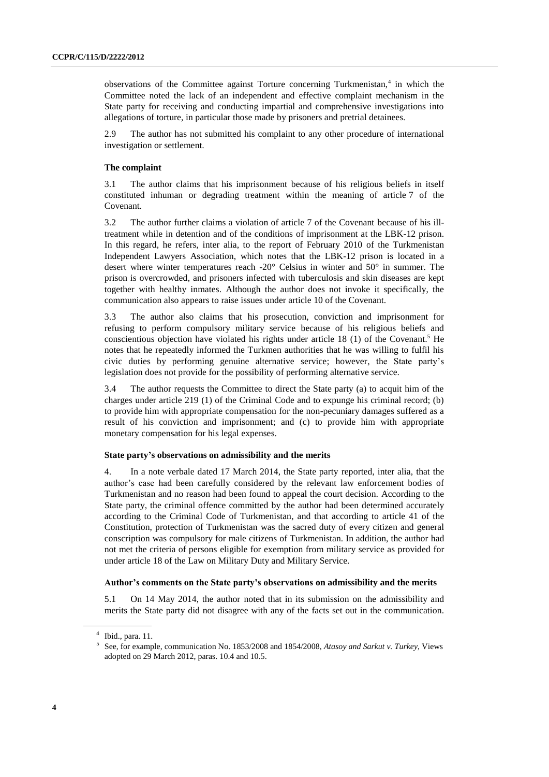observations of the Committee against Torture concerning Turkmenistan,<sup>4</sup> in which the Committee noted the lack of an independent and effective complaint mechanism in the State party for receiving and conducting impartial and comprehensive investigations into allegations of torture, in particular those made by prisoners and pretrial detainees.

2.9 The author has not submitted his complaint to any other procedure of international investigation or settlement.

#### **The complaint**

3.1 The author claims that his imprisonment because of his religious beliefs in itself constituted inhuman or degrading treatment within the meaning of article 7 of the Covenant.

3.2 The author further claims a violation of article 7 of the Covenant because of his illtreatment while in detention and of the conditions of imprisonment at the LBK-12 prison. In this regard, he refers, inter alia, to the report of February 2010 of the Turkmenistan Independent Lawyers Association, which notes that the LBK-12 prison is located in a desert where winter temperatures reach -20° Celsius in winter and 50° in summer. The prison is overcrowded, and prisoners infected with tuberculosis and skin diseases are kept together with healthy inmates. Although the author does not invoke it specifically, the communication also appears to raise issues under article 10 of the Covenant.

3.3 The author also claims that his prosecution, conviction and imprisonment for refusing to perform compulsory military service because of his religious beliefs and conscientious objection have violated his rights under article 18 (1) of the Covenant.<sup>5</sup> He notes that he repeatedly informed the Turkmen authorities that he was willing to fulfil his civic duties by performing genuine alternative service; however, the State party's legislation does not provide for the possibility of performing alternative service.

3.4 The author requests the Committee to direct the State party (a) to acquit him of the charges under article 219 (1) of the Criminal Code and to expunge his criminal record; (b) to provide him with appropriate compensation for the non-pecuniary damages suffered as a result of his conviction and imprisonment; and (c) to provide him with appropriate monetary compensation for his legal expenses.

#### **State party's observations on admissibility and the merits**

4. In a note verbale dated 17 March 2014, the State party reported, inter alia, that the author's case had been carefully considered by the relevant law enforcement bodies of Turkmenistan and no reason had been found to appeal the court decision. According to the State party, the criminal offence committed by the author had been determined accurately according to the Criminal Code of Turkmenistan, and that according to article 41 of the Constitution, protection of Turkmenistan was the sacred duty of every citizen and general conscription was compulsory for male citizens of Turkmenistan. In addition, the author had not met the criteria of persons eligible for exemption from military service as provided for under article 18 of the Law on Military Duty and Military Service.

#### **Author's comments on the State party's observations on admissibility and the merits**

5.1 On 14 May 2014, the author noted that in its submission on the admissibility and merits the State party did not disagree with any of the facts set out in the communication.

<sup>4</sup> Ibid., para. 11.

<sup>5</sup> See, for example, communication No. 1853/2008 and 1854/2008, *Atasoy and Sarkut v. Turkey*, Views adopted on 29 March 2012, paras. 10.4 and 10.5.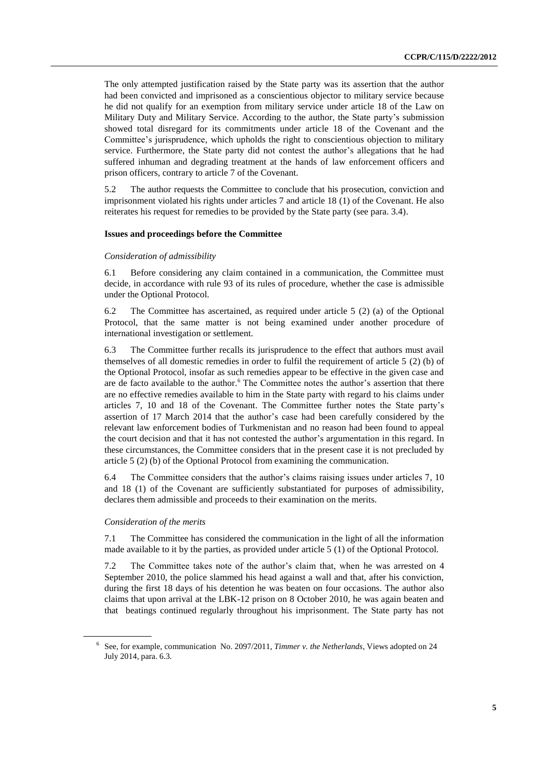The only attempted justification raised by the State party was its assertion that the author had been convicted and imprisoned as a conscientious objector to military service because he did not qualify for an exemption from military service under article 18 of the Law on Military Duty and Military Service. According to the author, the State party's submission showed total disregard for its commitments under article 18 of the Covenant and the Committee's jurisprudence, which upholds the right to conscientious objection to military service. Furthermore, the State party did not contest the author's allegations that he had suffered inhuman and degrading treatment at the hands of law enforcement officers and prison officers, contrary to article 7 of the Covenant.

5.2 The author requests the Committee to conclude that his prosecution, conviction and imprisonment violated his rights under articles 7 and article 18 (1) of the Covenant. He also reiterates his request for remedies to be provided by the State party (see para. 3.4).

#### **Issues and proceedings before the Committee**

#### *Consideration of admissibility*

6.1 Before considering any claim contained in a communication, the Committee must decide, in accordance with rule 93 of its rules of procedure, whether the case is admissible under the Optional Protocol.

6.2 The Committee has ascertained, as required under article 5 (2) (a) of the Optional Protocol, that the same matter is not being examined under another procedure of international investigation or settlement.

6.3 The Committee further recalls its jurisprudence to the effect that authors must avail themselves of all domestic remedies in order to fulfil the requirement of article 5 (2) (b) of the Optional Protocol, insofar as such remedies appear to be effective in the given case and are de facto available to the author.<sup>6</sup> The Committee notes the author's assertion that there are no effective remedies available to him in the State party with regard to his claims under articles 7, 10 and 18 of the Covenant. The Committee further notes the State party's assertion of 17 March 2014 that the author's case had been carefully considered by the relevant law enforcement bodies of Turkmenistan and no reason had been found to appeal the court decision and that it has not contested the author's argumentation in this regard. In these circumstances, the Committee considers that in the present case it is not precluded by article 5 (2) (b) of the Optional Protocol from examining the communication.

6.4 The Committee considers that the author's claims raising issues under articles 7, 10 and 18 (1) of the Covenant are sufficiently substantiated for purposes of admissibility, declares them admissible and proceeds to their examination on the merits.

#### *Consideration of the merits*

7.1 The Committee has considered the communication in the light of all the information made available to it by the parties, as provided under article 5 (1) of the Optional Protocol.

7.2 The Committee takes note of the author's claim that, when he was arrested on 4 September 2010, the police slammed his head against a wall and that, after his conviction, during the first 18 days of his detention he was beaten on four occasions. The author also claims that upon arrival at the LBK-12 prison on 8 October 2010, he was again beaten and that beatings continued regularly throughout his imprisonment. The State party has not

<sup>6</sup> See, for example, communication No. 2097/2011, *Timmer v. the Netherlands*, Views adopted on 24 July 2014, para. 6.3.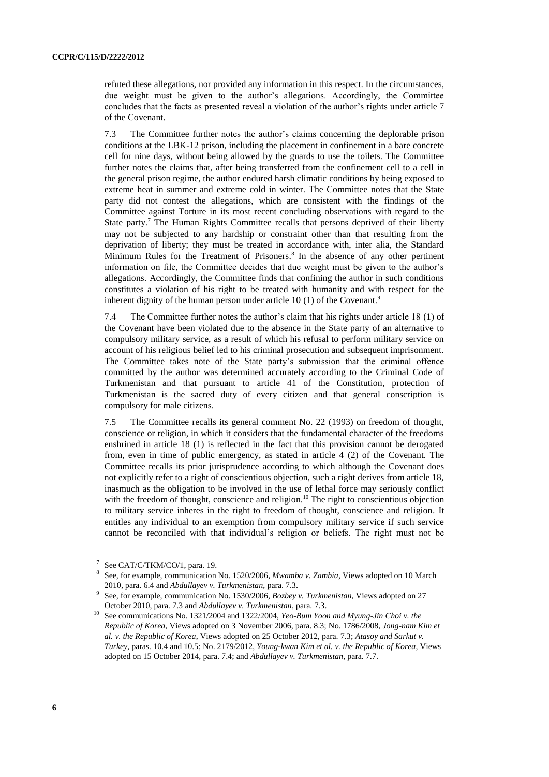refuted these allegations, nor provided any information in this respect. In the circumstances, due weight must be given to the author's allegations. Accordingly, the Committee concludes that the facts as presented reveal a violation of the author's rights under article 7 of the Covenant.

7.3 The Committee further notes the author's claims concerning the deplorable prison conditions at the LBK-12 prison, including the placement in confinement in a bare concrete cell for nine days, without being allowed by the guards to use the toilets. The Committee further notes the claims that, after being transferred from the confinement cell to a cell in the general prison regime, the author endured harsh climatic conditions by being exposed to extreme heat in summer and extreme cold in winter. The Committee notes that the State party did not contest the allegations, which are consistent with the findings of the Committee against Torture in its most recent concluding observations with regard to the State party.<sup>7</sup> The Human Rights Committee recalls that persons deprived of their liberty may not be subjected to any hardship or constraint other than that resulting from the deprivation of liberty; they must be treated in accordance with, inter alia, the Standard Minimum Rules for the Treatment of Prisoners. 8 In the absence of any other pertinent information on file, the Committee decides that due weight must be given to the author's allegations. Accordingly, the Committee finds that confining the author in such conditions constitutes a violation of his right to be treated with humanity and with respect for the inherent dignity of the human person under article 10 (1) of the Covenant.<sup>9</sup>

7.4 The Committee further notes the author's claim that his rights under article 18 (1) of the Covenant have been violated due to the absence in the State party of an alternative to compulsory military service, as a result of which his refusal to perform military service on account of his religious belief led to his criminal prosecution and subsequent imprisonment. The Committee takes note of the State party's submission that the criminal offence committed by the author was determined accurately according to the Criminal Code of Turkmenistan and that pursuant to article 41 of the Constitution, protection of Turkmenistan is the sacred duty of every citizen and that general conscription is compulsory for male citizens.

7.5 The Committee recalls its general comment No. 22 (1993) on freedom of thought, conscience or religion, in which it considers that the fundamental character of the freedoms enshrined in article 18 (1) is reflected in the fact that this provision cannot be derogated from, even in time of public emergency, as stated in article 4 (2) of the Covenant. The Committee recalls its prior jurisprudence according to which although the Covenant does not explicitly refer to a right of conscientious objection, such a right derives from article 18, inasmuch as the obligation to be involved in the use of lethal force may seriously conflict with the freedom of thought, conscience and religion.<sup>10</sup> The right to conscientious objection to military service inheres in the right to freedom of thought, conscience and religion. It entitles any individual to an exemption from compulsory military service if such service cannot be reconciled with that individual's religion or beliefs. The right must not be

<sup>7</sup> See CAT/C/TKM/CO/1, para. 19.

<sup>8</sup> See, for example, communication No. 1520/2006, *Mwamba v. Zambia*, Views adopted on 10 March 2010, para. 6.4 and *Abdullayev v. Turkmenistan*, para. 7.3.

<sup>9</sup> See, for example, communication No. 1530/2006, *Bozbey v. Turkmenistan*, Views adopted on 27 October 2010, para. 7.3 and *Abdullayev v. Turkmenistan*, para. 7.3.

<sup>10</sup> See communications No. 1321/2004 and 1322/2004, *Yeo-Bum Yoon and Myung-Jin Choi v. the Republic of Korea*, Views adopted on 3 November 2006, para. 8.3; No. 1786/2008, *Jong-nam Kim et al. v. the Republic of Korea*, Views adopted on 25 October 2012, para. 7.3; *Atasoy and Sarkut v. Turkey*, paras. 10.4 and 10.5; No. 2179/2012, *Young-kwan Kim et al. v. the Republic of Korea*, Views adopted on 15 October 2014, para. 7.4; and *Abdullayev v. Turkmenistan*, para. 7.7.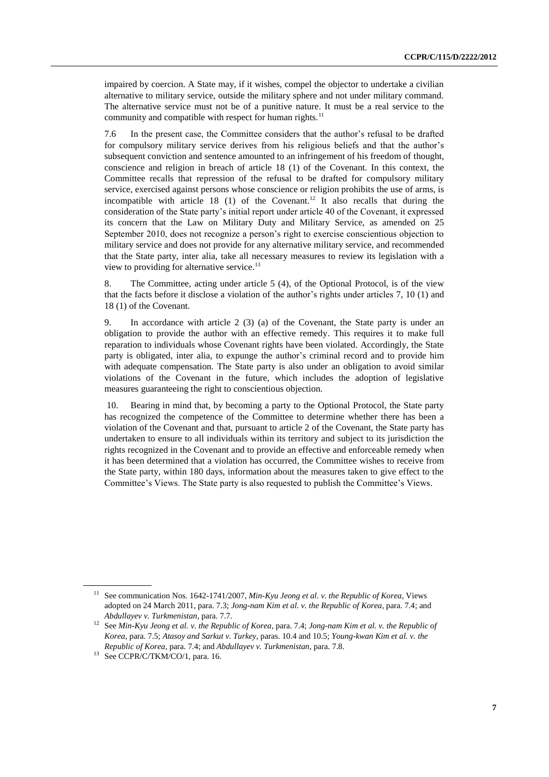impaired by coercion. A State may, if it wishes, compel the objector to undertake a civilian alternative to military service, outside the military sphere and not under military command. The alternative service must not be of a punitive nature. It must be a real service to the community and compatible with respect for human rights. $11$ 

7.6 In the present case, the Committee considers that the author's refusal to be drafted for compulsory military service derives from his religious beliefs and that the author's subsequent conviction and sentence amounted to an infringement of his freedom of thought, conscience and religion in breach of article 18 (1) of the Covenant. In this context, the Committee recalls that repression of the refusal to be drafted for compulsory military service, exercised against persons whose conscience or religion prohibits the use of arms, is incompatible with article 18 (1) of the Covenant.<sup>12</sup> It also recalls that during the consideration of the State party's initial report under article 40 of the Covenant, it expressed its concern that the Law on Military Duty and Military Service, as amended on 25 September 2010, does not recognize a person's right to exercise conscientious objection to military service and does not provide for any alternative military service, and recommended that the State party, inter alia, take all necessary measures to review its legislation with a view to providing for alternative service.<sup>13</sup>

8. The Committee, acting under article 5 (4), of the Optional Protocol, is of the view that the facts before it disclose a violation of the author's rights under articles 7, 10 (1) and 18 (1) of the Covenant.

9. In accordance with article 2 (3) (a) of the Covenant, the State party is under an obligation to provide the author with an effective remedy. This requires it to make full reparation to individuals whose Covenant rights have been violated. Accordingly, the State party is obligated, inter alia, to expunge the author's criminal record and to provide him with adequate compensation. The State party is also under an obligation to avoid similar violations of the Covenant in the future, which includes the adoption of legislative measures guaranteeing the right to conscientious objection.

10. Bearing in mind that, by becoming a party to the Optional Protocol, the State party has recognized the competence of the Committee to determine whether there has been a violation of the Covenant and that, pursuant to article 2 of the Covenant, the State party has undertaken to ensure to all individuals within its territory and subject to its jurisdiction the rights recognized in the Covenant and to provide an effective and enforceable remedy when it has been determined that a violation has occurred, the Committee wishes to receive from the State party, within 180 days, information about the measures taken to give effect to the Committee's Views. The State party is also requested to publish the Committee's Views.

<sup>11</sup> See communication Nos. 1642-1741/2007, *Min-Kyu Jeong et al. v. the Republic of Korea*, Views adopted on 24 March 2011, para. 7.3; *Jong-nam Kim et al. v. the Republic of Korea*, para. 7.4; and *Abdullayev v. Turkmenistan*, para. 7.7.

<sup>12</sup> See *Min-Kyu Jeong et al. v. the Republic of Korea*, para. 7.4; *Jong-nam Kim et al. v. the Republic of Korea*, para. 7.5; *Atasoy and Sarkut v. Turkey*, paras. 10.4 and 10.5; *Young-kwan Kim et al. v. the Republic of Korea*, para. 7.4; and *Abdullayev v. Turkmenistan*, para. 7.8.

<sup>&</sup>lt;sup>13</sup> See CCPR/C/TKM/CO/1, para. 16.